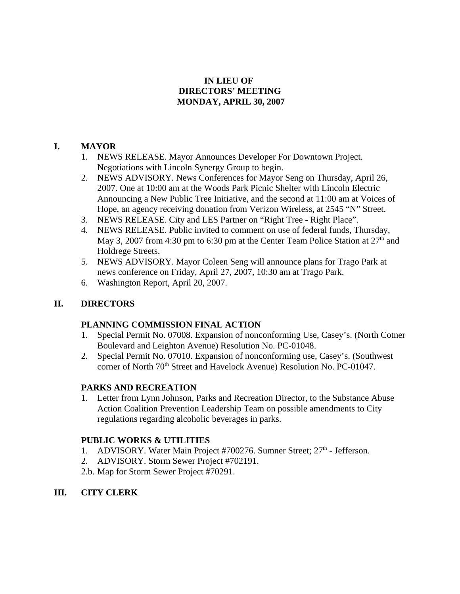## **IN LIEU OF DIRECTORS' MEETING MONDAY, APRIL 30, 2007**

## **I. MAYOR**

- 1. NEWS RELEASE. Mayor Announces Developer For Downtown Project. Negotiations with Lincoln Synergy Group to begin.
- 2. NEWS ADVISORY. News Conferences for Mayor Seng on Thursday, April 26, 2007. One at 10:00 am at the Woods Park Picnic Shelter with Lincoln Electric Announcing a New Public Tree Initiative, and the second at 11:00 am at Voices of Hope, an agency receiving donation from Verizon Wireless, at 2545 "N" Street.
- 3. NEWS RELEASE. City and LES Partner on "Right Tree Right Place".
- 4. NEWS RELEASE. Public invited to comment on use of federal funds, Thursday, May 3, 2007 from 4:30 pm to 6:30 pm at the Center Team Police Station at  $27<sup>th</sup>$  and Holdrege Streets.
- 5. NEWS ADVISORY. Mayor Coleen Seng will announce plans for Trago Park at news conference on Friday, April 27, 2007, 10:30 am at Trago Park.
- 6. Washington Report, April 20, 2007.

# **II. DIRECTORS**

### **PLANNING COMMISSION FINAL ACTION**

- 1. Special Permit No. 07008. Expansion of nonconforming Use, Casey's. (North Cotner Boulevard and Leighton Avenue) Resolution No. PC-01048.
- 2. Special Permit No. 07010. Expansion of nonconforming use, Casey's. (Southwest corner of North 70<sup>th</sup> Street and Havelock Avenue) Resolution No. PC-01047.

# **PARKS AND RECREATION**

1. Letter from Lynn Johnson, Parks and Recreation Director, to the Substance Abuse Action Coalition Prevention Leadership Team on possible amendments to City regulations regarding alcoholic beverages in parks.

# **PUBLIC WORKS & UTILITIES**

- 1. ADVISORY. Water Main Project #700276. Sumner Street; 27<sup>th</sup> Jefferson.
- 2. ADVISORY. Storm Sewer Project #702191.
- 2.b. Map for Storm Sewer Project #70291.
- **III. CITY CLERK**